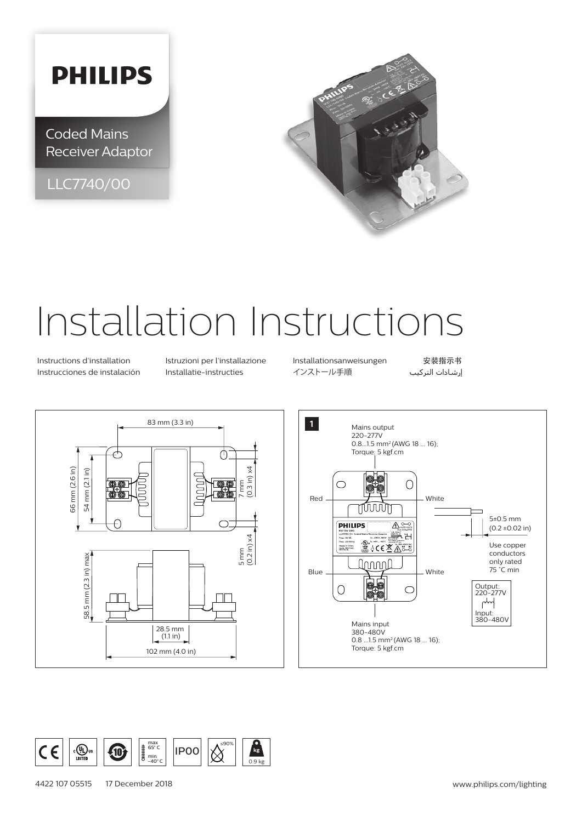## **PHILIPS**

Coded Mains Receiver Adaptor

LLC7740/00



# Installation Instructions

Instrucciones de instalación Installatie-instructies インストール手順 التركيب إرشادات

Instructions d'installation Istruzioni per l'installazione Installationsanweisungen 安装指示书